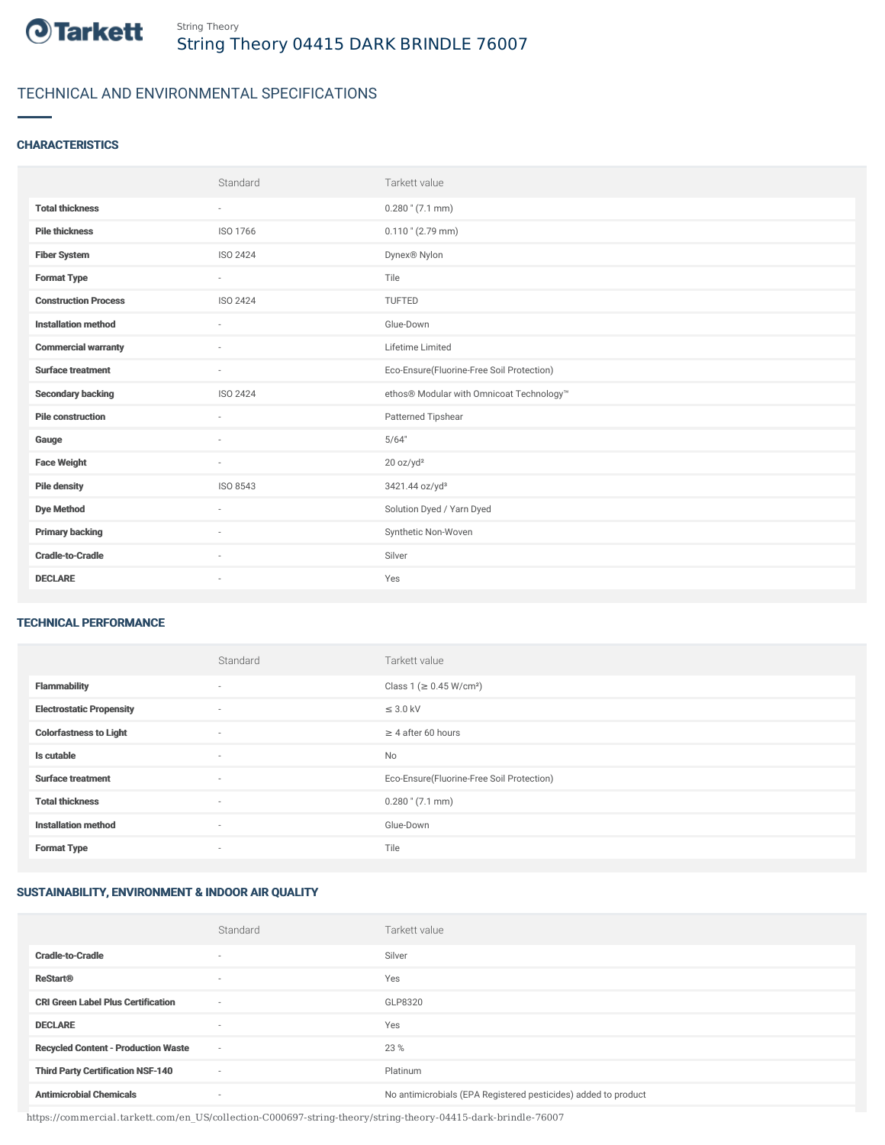

# TECHNICAL AND ENVIRONMENTAL SPECIFICATIONS

## **CHARACTERISTICS**

|                             | Standard                 | Tarkett value                             |
|-----------------------------|--------------------------|-------------------------------------------|
| <b>Total thickness</b>      | $\sim$                   | $0.280$ " (7.1 mm)                        |
| <b>Pile thickness</b>       | ISO 1766                 | $0.110$ " (2.79 mm)                       |
| <b>Fiber System</b>         | ISO 2424                 | Dynex <sup>®</sup> Nylon                  |
| <b>Format Type</b>          | $\sim$                   | Tile                                      |
| <b>Construction Process</b> | <b>ISO 2424</b>          | <b>TUFTED</b>                             |
| <b>Installation method</b>  | $\overline{\phantom{a}}$ | Glue-Down                                 |
| <b>Commercial warranty</b>  |                          | Lifetime Limited                          |
| <b>Surface treatment</b>    | $\sim$                   | Eco-Ensure(Fluorine-Free Soil Protection) |
| <b>Secondary backing</b>    | ISO 2424                 | ethos® Modular with Omnicoat Technology™  |
| <b>Pile construction</b>    |                          | Patterned Tipshear                        |
| Gauge                       | $\sim$                   | 5/64"                                     |
| <b>Face Weight</b>          | $\sim$                   | 20 oz/yd <sup>2</sup>                     |
| <b>Pile density</b>         | ISO 8543                 | 3421.44 oz/yd <sup>3</sup>                |
| <b>Dye Method</b>           | $\sim$                   | Solution Dyed / Yarn Dyed                 |
| <b>Primary backing</b>      | $\sim$                   | Synthetic Non-Woven                       |
| <b>Cradle-to-Cradle</b>     | $\overline{\phantom{a}}$ | Silver                                    |
| <b>DECLARE</b>              | $\sim$                   | Yes                                       |

#### TECHNICAL PERFORMANCE

|                                 | Standard | Tarkett value                             |
|---------------------------------|----------|-------------------------------------------|
| <b>Flammability</b>             | $\sim$   | Class 1 (≥ 0.45 W/cm <sup>2</sup> )       |
| <b>Electrostatic Propensity</b> | $\sim$   | $\leq$ 3.0 kV                             |
| <b>Colorfastness to Light</b>   | $\sim$   | $\geq$ 4 after 60 hours                   |
| Is cutable                      | ٠        | <b>No</b>                                 |
| <b>Surface treatment</b>        | ٠        | Eco-Ensure(Fluorine-Free Soil Protection) |
| <b>Total thickness</b>          | ٠        | $0.280$ " (7.1 mm)                        |
| <b>Installation method</b>      | $\sim$   | Glue-Down                                 |
| <b>Format Type</b>              | $\sim$   | Tile                                      |

### SUSTAINABILITY, ENVIRONMENT & INDOOR AIR QUALITY

|                                            | Standard                 | Tarkett value                                                  |
|--------------------------------------------|--------------------------|----------------------------------------------------------------|
| <b>Cradle-to-Cradle</b>                    | ۰                        | Silver                                                         |
| <b>ReStart®</b>                            | $\overline{\phantom{a}}$ | Yes                                                            |
| <b>CRI Green Label Plus Certification</b>  | $\overline{\phantom{a}}$ | GLP8320                                                        |
| <b>DECLARE</b>                             | $\overline{\phantom{a}}$ | Yes                                                            |
| <b>Recycled Content - Production Waste</b> | $\sim$                   | 23 %                                                           |
| <b>Third Party Certification NSF-140</b>   | $\overline{\phantom{a}}$ | Platinum                                                       |
| <b>Antimicrobial Chemicals</b>             | ۰                        | No antimicrobials (EPA Registered pesticides) added to product |

https://commercial.tarkett.com/en\_US/collection-C000697-string-theory/string-theory-04415-dark-brindle-76007